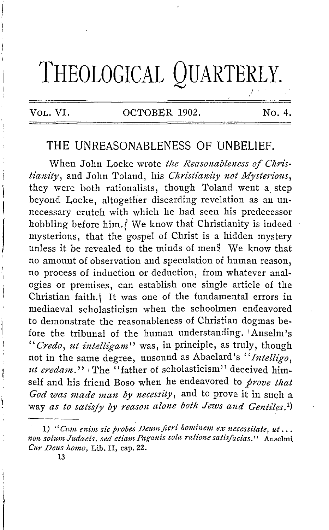# **THEOLOGICAL QUARTERLY.**

 $\mathbf{I}$  $\vert$ 

l

### VOL. VI. OCTOBER 1902. No. 4.

 $\prime$  .

## **THE** UNREASONABLENESS OF **UNBELIEF.**

When John Locke wrote the Reasonableness of Chris*lianity*, and John Toland, his *Christianity not Mysterious*, they were both rationalists, though Toland went a. step beyond Locke, altogether discarding revelation as an unnecessary crutch with which he had seen his predecessor hobbling before him./ We know that Christianity is indeed  $\sim$ mysterious, that the gospel of Christ is a hidden mystery unless it be revealed to the minds of men $\frac{9}{2}$ . We know that no amount of observation and speculation of human reason, no process of induction or deduction, from whatever analogies or premises, can establish one single article of the Christian faith.) It was one of the fundamental errors in mediaeval scholasticism when the schoolmen endeavored to demonstrate the reasonableness of Christian dogmas before the tribunal of the human understanding. 1Anselm's "*Credo, ut intelligam*" was, in principle, as truly, though not in the same degree, unsound as Abaelard's "Intellivo. ut credam." *The* "father of scholasticism" deceived himself and his friend Boso when he endeavored to *prove that God was made man by necessity,* and to prove it in such a way *as to satisfy by reason alone both Jews and Gentiles.*<sup>1</sup>)

<sup>1) &</sup>quot;Cum enim sic probes Deum fieri hominem ex necessitate, ut... *non solzem Judaeis, sed etiam Paganis sola ratione satisfacias."* Anselmi *Cur Deus homo,* Lib. II, cap. 22.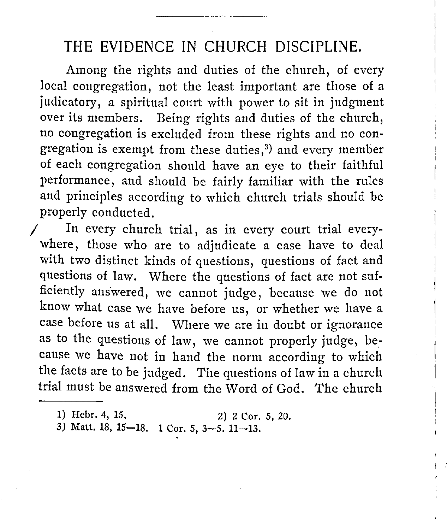Among the rights and duties of the church, of every local congregation, not the least important are those of a judicatory, a spiritual court with power to sit in judgment over its members. Being rights and duties of the church, no congregation is excluded from these rights and no congregation is exempt from these duties,<sup>3)</sup> and every member of each congregation should have an eye to their faithful performance, and should be fairly familiar with the rules and principles according to which church trials should be properly conducted.

In every church trial, as in every court trial everywhere, those who are to adjudicate a case have to deal with two distinct kinds of questions, questions of fact and questions of law. Where the questions of fact are not sufficiently answered, we cannot judge, because we do not know what case we have before us, or whether we have a case before us at all. Where we are in doubt or ignorance as to the questions of law, we cannot properly judge, because we have not in hand the norm according to which the facts are to be judged. The questions of law in a church trial must be answered from the Word of God. The church

I :

3) Matt. 18, 15-18. 1 Cor. 5, 3-5. 11-13.

<sup>1)</sup> Hebr. 4, 15. 2) 2 Cor. 5, 20.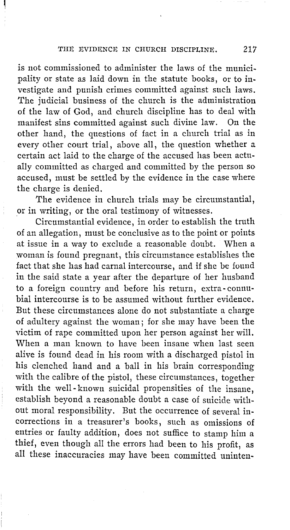is not commissioned to administer the laws of the municipality or state as laid down in the statute books, or to investigate and punish crimes committed against such laws. The judicial business of the church is the administration of the law of God, and church discipline has to deal with manifest sins committed against such divine law. On the other hand, the questions of fact in a church trial as in every other court trial, above all, the question whether a certain act laid to the charge of the accused has been actually committed as charged and committed by the person so accused, must be settled by the evidence in the case where the charge is denied.

The evidence in church trials may be circumstantial, or in writing, or the oral testimony of witnesses.

Circumstantial evidence, in order to establish the truth of an allegation, must be conclusive as to the point or points at issue in a way to exclude a reasonable doubt. When a woman is found pregnant, this circumstance establishes the fact that she has had carnal intercourse, and if she be found in the said state a year after the departure of her husband to a foreign country and before his return, extra- commbial intercourse is to be assumed without further evidence. But these circumstances alone do not substantiate a charge of adultery against the woman; for she may have been the victim of rape committed upon her person against her will. When a man known to have been insane when last seen alive is found dead in his room with a discharged pistol in his clenched hand and a ball in his brain corresponding with the calibre of the pistol, these circumstances, together with the well-known suicidal propensities of the insane, establish beyond a reasonable doubt a case of suicide without moral responsibility. But the occurrence of several incorrections in a treasurer's books, such as omissions of entries or faulty addition, does not suffice to stamp him a thief, even though all the errors had been to his profit, as all these inaccuracies may have been committed uninten-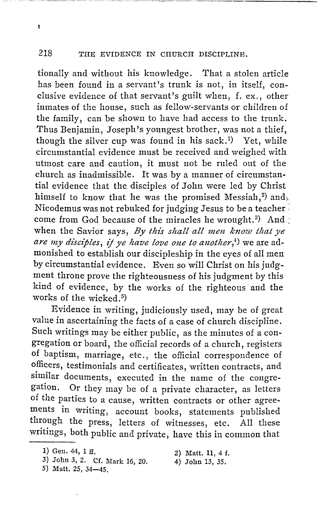$\pmb{\mathfrak{t}}$ 

tionally and without his knowledge. That a stolen article has been found in a servant's trunk is not, in itself, conclusive evidence of that servant's guilt when, £. ex., other inmates of the house, such as fellow-servants or children of the family, can be shown to have had access to the trunk. Thus Benjamin, Joseph's youngest brother, was not a thief, though the silver cup was found in his sack.<sup>1</sup>) Yet, while circumstantial evidence must be received and weighed with utmost care and caution, it must not be ruled out of the church as inadmissible. It was by a manner of circumstantial evidence that the disciples of John were led by Christ himself to know that he was the promised Messiah,<sup>2</sup>) and, Nicodemus was not rebuked for judging Jesus to be a teacher • come from God because of the miracles he wrought.<sup>3)</sup> And  $\vdots$ when the Savior says, *By this shall all men know that ye are my disciples, ij ye have love one to another,4)* we are admonished to establish our discipleship in the eyes of all men by circumstantial evidence. Even so will Christ on his judgment throne prove the righteousness of his judgment by this kind of evidence, by the works of the righteous and the works of the wicked.<sup>5</sup>)

Evidence in writing, judiciously used, may be of great value in ascertaining the facts of a case of church discipline. Such writings may be either public, as the minutes of a congregation or board, the official records of a church, registers of baptism, marriage, etc., the official correspondence of officers, testimonials and certificates, written contracts, and similar documents, executed in the name of the congregation. Or they may be of a private character, as letters of the parties to a cause, written contracts or other agreements in writing, account books, statements published through the press, letters of witnesses, etc. All these writings, both public and private, have this in common that

- 3) John 3, 2. Cf. Mark 16, 20.
- 4) John 13, *35.*

5) Matt. 25, 34-45.

<sup>1)</sup> Gen. 44, 1 ff.

<sup>2)</sup> Matt. 11, 4 f.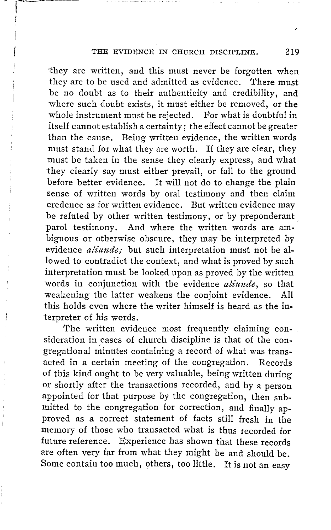ihey are written, and this must never be forgotten when they are to be used and admitted as evidence. There must be no doubt as to their authenticity and credibility, and where such doubt exists, it must either be removed, or the whole instrument must be rejected. For what is doubtful in itself cannot establish a certainty; the effect cannot be greater than the cause. Being written evidence, the written words must stand for what they are worth. If they are clear, they must be taken in the sense they clearly express, and what they clearly say must either prevail, or fall to the ground before better evidence. It will not do to change the plain sense of written words by oral testimony and then claim credence as for written evidence. But written evidence may be refuted by other written testimony, or by preponderant parol testimony. And where the written words are ambiguous or otherwise obscure, they may be interpreted by evidence *aliunde;* but such interpretation must not be allowed to contradict the context, and what is proved by such interpretation must be looked upon as proved by the written words in conjunction with the evidence *aliunde,* so that weakening the latter weakens the conjoint evidence. All this holds even where the writer himself is heard as the interpreter of his words.

The written evidence most frequently claiming con-. sideration in cases of church discipline is that of the congregational minutes containing a record of what was transacted in a certain meeting of the congregation. Records of this kind ought to be very valuable, being written during or shortly after the transactions recorded, and by a person appointed for that purpose by the congregation, then submitted to the congregation for correction, and finally approved as a correct statement of facts still fresh in the memory of those who transacted what is thus recorded for future reference. Experience has shown that these records are often very far from what they might be and should be. Some contain too much, others, too little. It is not an easy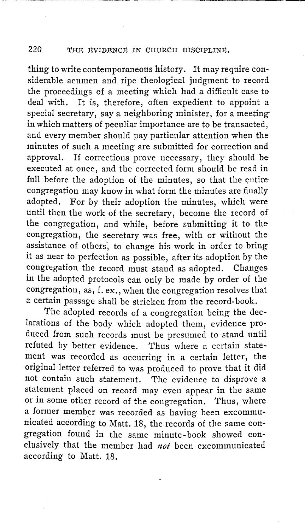thing to write contemporaneous history. It may require considerable acumen and ripe theological judgment to record the proceedings of a meeting which had a difficult case to deal with. It is, therefore, often expedient to appoint a special secretary, say a neighboring minister, for a meeting in which matters of peculiar importance are to be transacted, and every member should pay particular attention when the minutes of such a meeting are submitted for correction and approval. If corrections prove necessary, they should be executed at once, and the corrected form should be read in full before the adoption of the minutes, so that the entire congregation may know in what form the minutes are finally adopted. For by their adoption the minutes, which were For by their adoption the minutes, which were until then the work of the secretary, become the record of the congregation, and while, before submitting it to the congregation, the secretary was free, with or without the assistance of others, to change his work in order to bring it as near to perfection as possible, after its adoption by the congregation the record must stand as adopted. Changes. in the adopted protocols can only be made by order of the congregation, as, f. ex., when the congregation resolves that a certain passage shall be stricken from the record-book.

The adopted records of a congregation being the declarations of the body which adopted them, evidence produced from such records must be presumed to stand until refuted by better evidence. Thus where a certain statement was recorded as occurring in a certain letter, the original letter referred to was produced to prove that it did not contain such statement. The evidence to disprove a statement placed on record may even appear in the same or in some other record of the congregation. Thus, where a former member was recorded as having been excommunicated according to Matt. 18, the records of the same congregation found in the same minute-book showed conclusively that the member had *not* been excommunicated according to Matt. 18.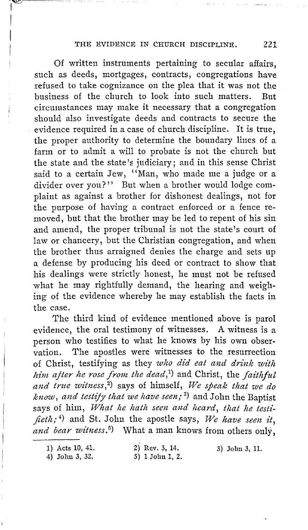Of written instruments pertaining to secular affairs, such as deeds, mortgages, contracts, congregations have refused to take cognizance on the plea that it was not the business of the church to look into such matters. But circumstances may make it necessary that a congregation should also investigate deeds and contracts to secure the evidence required in a case of church discipline. It is true, the proper authority to determine the boundary lines of a farm or to admit a will to probate is not the church but the state and the state's judiciary; and in this sense Christ said to a certain Jew, "Man, who made me a judge or a divider over you?" But when a brother would lodge complaint as against a brother for dishonest dealings, not for the purpose of having a contract enforced or a fence removed, but that the brother may be led to repent of his sin and amend, the proper tribunal is not the state's court of law or chancery, but the Christian congregation, and when the brother thus arraigned denies the charge and sets up a defense by producing his deed or contract to show that his dealings were strictly honest, he must not be refused what he may rightfully demand, the hearing and weighing of the evidence whereby he may establish the facts in the case.

The third kind of evidence mentioned above is parol evidence, the oral testimony of witnesses. A witness is a person who testifies to what he knows by his own observation. The apostles were witnesses to the resurrection of Christ, testifying as they *who did eat and drink with him after he rose from the dead*,<sup>1</sup>) and Christ, the *faithful* and true witness,<sup>2</sup>) says of himself, We speak that we do *know, and testify that we have seen;* <sup>3</sup> ) and John the Baptist says of him, *What he hath seen and heard, that he testifieth;* <sup>4</sup> ) and St. John the apostle says, *We have seen it,*  and bear witness.<sup>5</sup>) What a man knows from others only,

1) Acts 10, 41. 4) John 3, 32.

 $\sim$ 

1  $\vert$  $\mathbf{I}$ 

> 2) Rev. 3, 14. 5) 1 John 1, 2.

3) John 3, 11.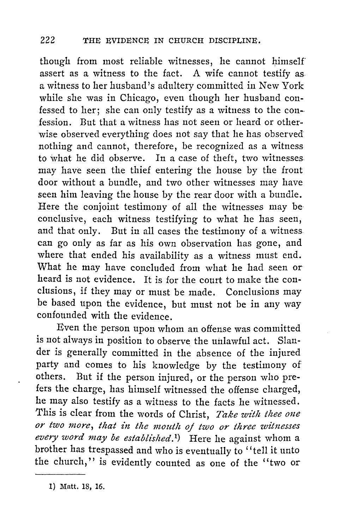though from most reliable witnesses, he cannot himself assert as a witness to the fact. A wife cannot testify as a witness to her husband's adultery committed in New York while she was in Chicago, even though her husband confessed to her; she can only testify as a witness to the confession. But that a witness has not seen or heard or otherwise observed everything does not say that he has observed nothing and cannot, therefore, be recognized as a witness to what he did observe. In a case of theft, two witnesses may have seen the thief entering the house by the front door without a bundle, and two other witnesses may have seen him leaving the house by the rear door with a bundle. Here the conjoint testimony of all the witnesses may be conclusive, each witness testifying to what he has seen, and that only. But in all cases the testimony of a witness can go only as far as his own observation has gone, and where that ended his availability as a witness must end. What he may have concluded from what he had seen or heard is not evidence. It is for the court to make the conclusions, if they may or must be made. Conclusions may be based upon the evidence, but must not be in any way confounded with the evidence.

Even the person upon whom an offense was committed is not always in position to observe the unlawful act. Slander is generally committed in the absence of the injured party and comes to his knowledge by the testimony of others. But if the person injured or the person who pre-But if the person injured, or the person who prefers the charge, has himself witnessed the offense charged, he may also testify as a witness to the facts he witnessed. This is clear from the words of Christ, *Take with thee one or two more, that in the mouth oj two or three witnesses every word may be established. 1)* Here he against whom a brother has trespassed and who is eventually to '' tell it unto the church,'' is evidently counted as one of the ''two or

<sup>1)</sup> Matt. 18, 16.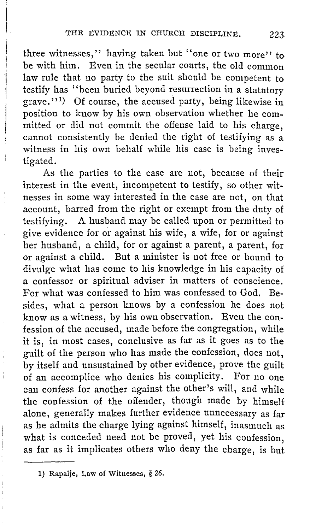three witnesses," having taken but "one or two more" to be with him. Even in the secular courts, the old common law rule that no party to the suit should be competent to testify has ''been buried beyond resurrection in a statutory grave." 1 ) Of course, the accused party, being likewise in position to know by his own observation whether he committed or did not commit the offense laid to his charge, cannot consistently be denied the right of testifying as a witness in his own behalf while his case is being investigated.

 $\mathbf{I}$  $\mathfrak{l}$ 

> As the parties to the case are not, because of their interest in the event, incompetent to testify, so other witnesses in some way interested in the case are not, on that account, barred from the right or exempt from the duty of testifying. A husband may be called upon or permitted to give evidence for or against his wife, a wife, for or against her husband, a child, for or against a parent, a parent, for or against a child. But a minister is not free or bound to divulge what has come to his knowledge in his capacity of a confessor or spiritual adviser in matters of conscience. For what was confessed to him was confessed to God. Besides, what a person knows by a confession he does not know as a witness, by his own observation. Even the confession of the accused, made before the congregation, while it is, in most cases, conclusive as far as it goes as to the guilt of the person who has made the confession, does not, by itself and unsustained by other evidence, prove the guilt of an accomplice who denies his complicity. For no one can confess for another against the other's will, and while the confession of the offender, though made by himself alone, generally makes further evidence unnecessary as far as he admits the charge lying against himself, inasmuch as what is conceded need not be proved, yet his confession. as far as it implicates others who deny the charge, is but

<sup>1)</sup> Rapalje, Law of Witnesses, § 26.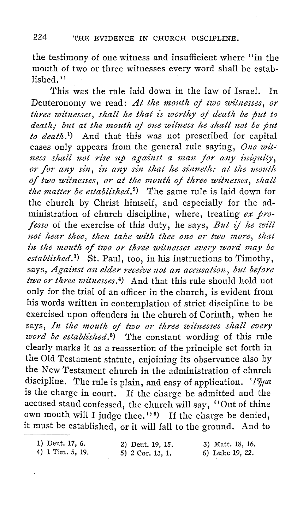the testimony of one witness and insufficient where "in the mouth of two or three witnesses every word shall be established.''

This was the rule laid down in the law of Israel. In Deuteronomy we read: At the mouth of two witnesses, or *three witnesses, shall he that is worthy oj death be put to death; but at the mouth of one witness he shall not be put to deatli. 1)* And that this was not prescribed for capital cases only appears from the general rule saying, *One wit*ness shall not rise up against a man for any iniquity, or for any sin, in any sin that he sinneth: at the mouth of two witnesses, or at the mouth of three witnesses, shall *the matter be established.* <sup>2</sup> ) The same rule is laid down for the church by Christ himself, and especially for the administration of church discipline, where, treating *ex professo* of the exercise of this duty, he says, *But if he will* not hear thee, then take with thee one or two more, that in the mouth of two or three witnesses every word may be *established.* <sup>3</sup> ) St. Paul, too, in his instructions to Timothy, says, *Against an elder receive not an accusation, but before two or three witnesses.* 4) And that this rule should hold not only for the trial of an officer in the church, is evident from his words written in contemplation of strict discipline to be exercised upon offenders in the church of Corinth, when he says, *In the mouth oj two or three witnesses shall every*  word be established.<sup>5</sup>) The constant wording of this rule clearly marks it as a reassertion of the principle set forth in the Old Testament statute, enjoining its observance also by the New Testament church in the administration of church discipline. The rule is plain, and easy of application. *'Pijµa*  is the charge in court. If the charge be admitted and the accused stand confessed, the church will say, "Out of thine own mouth will I judge thee." $\theta$ ) If the charge be denied, it must be established, or it will fall to the ground. And to

| 1) Deut. 17, 6.  | 2) Deut. 19, 15. | 3) Matt. 18, 16. |
|------------------|------------------|------------------|
| 4) 1 Tim. 5, 19. | 5) 2 Cor. 13, 1. | 6) Luke 19, 22.  |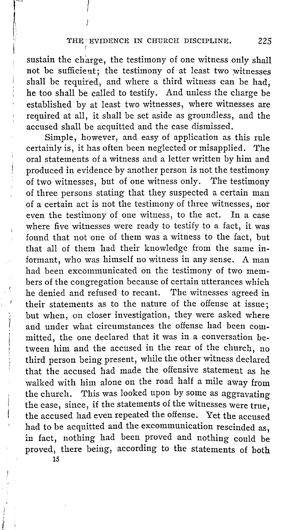sustain the charge, the testimony of one witness only shall not be sufficient; the testimony of at least two witnesses shall be required, and where a third witness can be had, he too shall be called to testify. And unless the charge be established by at least two witnesses, where witnesses are required at all, it shall be set aside as groundless, and the accused shall be acquitted and the case dismissed.

Simple, however, and easy of application as this rule certainly is, it has often been neglected or misapplied. The oral statements of a witness and a letter written by him and produced in evidence by another person is not the testimony of two witnesses, but of one witness only. The testimony of three persons stating that they suspected a certain man of a certain act is not the testimony of three witnesses, nor even the testimony of one witness, to the act. In a case where five witnesses were ready to testify to a fact, it was found that not one of them was a witness to the fact, but that all of them had their knowledge from the same informant, who was himself no witness in any sense. A man had been excommunicated on the testimony of two members of the congregation because of certain utterances which he denied and refused to recant. The witnesses agreed in their statements as to the nature of the offense at issue; but when, on closer investigation, they were asked where and under what circumstances the offense had been committed, the one declared that it was in a conversation between him and the accused in the rear of the church, no third person being present, while the other witness declared that the accused had made the offensive statement as he walked with him alone on the road half a mile away from the church. This was looked upon by some as aggravating the case, since, if the statements of the witnesses were true, the accused had even repeated the offense. Yet the accused had to be acquitted and the excommunication rescinded as, in fact, nothing had been proved and nothing could be proved, there being, according to the statements of both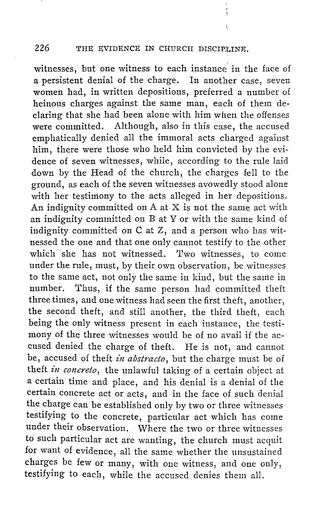witnesses, but one witness to each instance' in the face of a persistent denial of the charge. In another case, seven women had, in written depositions, preferred a number of heinous charges against the same man, each of them declaring that she had been alone with him when the offenses were committed. Although, also in this case, the accused emphatically denied all the immoral acts charged against him, there were those who held him convicted by the evidence of seven witnesses, while, according to the rule laid down by the Head of the church, the charges fell to the ground, as each of the seven witnesses avowedly stood alone with her testimony to the acts alleged in her depositions. An indignity committed on A at X is not the same act with an indignity committed on B at Y or with the same kind of indignity committed on C at Z, and a person who has witnessed the one and that one only cannot testify to the other which she has not witnessed. Two witnesses, to come under the rule, must, by their own observation, be witnesses to the same act, not only the same in kind, but the same in number. Thus, if the same person had committed theft three times, and one witness had seen the first theft, another, the second theft, and still another, the third theft, each being the only witness present in each instance, the testimony of the three witnesses would be of no avail if the accused denied the charge of theft. He is not, and cannot be, accused of theft *in abstracto*, but the charge must be of theft *in concreto*, the unlawful taking of a certain object at a certain time and place, and his denial is a denial of the certain concrete act or acts, and in the face of such denial the charge can be established only by two or three witnesses testifying to the concrete, particular act which has come under their observation. Where the two or three witnesses to such particular act are wanting, the church must acquit for want of evidence, all the same whether the unsustained charges be few or many, with one witness, and one only, testifying to each, while the accused denies them all.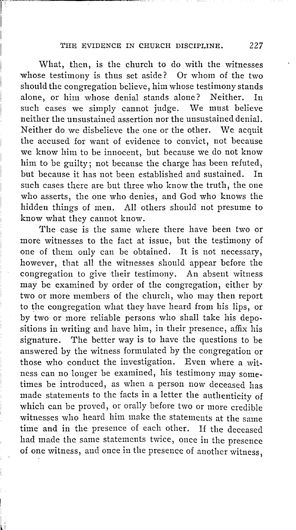r·

I I

I

I I  $\mathbf{I}$ I

What, then, is the church to do with the witnesses whose testimony is thus set aside? Or whom of the two should the congregation believe, him whose testimony stands alone, or him whose denial stands alone? Neither. In such cases we simply cannot judge. We must believe neither the unsustained assertion nor the unsustained denial. Neither do we disbelieve the one or the other. We acquit the accused for want of evidence to convict, not because we know him to be innocent, but because we do not know him to be guilty; not because the charge has been refuted, but because it has not been established and sustained. In such cases there are but three who know the truth, the one who asserts, the one who denies, and God who knows the hidden things of men. All others should not presume to know what they cannot know.

The case is the same where there have been two or more witnesses to the fact at issue, but the testimony of one of them only can be obtained. It is not necessary, however, that all the witnesses should appear before the congregation to give their testimony. An absent witness may be examined by order of the congregation, either by two or more members of the church, who may then report to the congregation what they have heard from his lips, or by two or more reliable persons who shall take his depositions in writing and have him, in their presence, affix his signature. The better way is to have the questions to be answered by the witness formulated by the congregation or those who conduct the investigation. Even where a witness can no longer be examined, his testimony may sometimes be introduced, as when a person now deceased has made statements to the facts in a letter the authenticity of which can be proved, or orally before two or more credible witnesses who heard him make the statements at the same time and in the presence of each other. If the deceased had made the same statements twice, once in the presence of one witness, and once in the presence of another witness.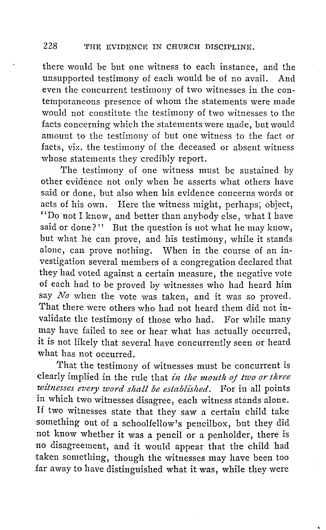there would be but one witness to each instance, and the unsupported testimony of each would be of no avail. And even the concurrent testimony of two witnesses in the contemporaneous presence of whom the statements were made would not constitute the testimony of two witnesses to the facts concerning which the statements were made, but would amount to the testimony of but one witness to the fact or facts, viz. the testimony of the deceased or absent witness whose statements they credibly report.

The testimony of one witness must be sustained by other evidence not only when he asserts what others have said or done, but also when his evidence concerns words or acts of his own. Here the witness might, perhaps; object, "Do not I know, and better than anybody else, what I have said or done?'' But the question is not what he may know, but what he can prove, and his testimony, while it stands alone, can prove nothing. When in the course of an investigation several members of a congregation declared that they had voted against a certain measure, the negative vote of each had to be proved by witnesses who had heard him say *No* when the vote was taken, and it was so proved. That there were others who had not heard them did not invalidate the testimony of those who had. For while many may have failed to see or hear what has actually occurred, it is not likely that several have concurrently seen or heard what has not occurred.

That the testimony of witnesses must be concurrent is clearly implied in the rule that *z'n the mouth oj two or three*  witnesses every word shall be established. For in all points in which two witnesses disagree, each witness stands alone. If two witnesses state that they saw a certain child take something out of a schoolfellow's pencilbox, but they did not know whether it was a pencil or a penholder, there is ·no disagreement, and it would appear that the child had taken something, though the witnesses may have been too far away to have distinguished what it was, while they were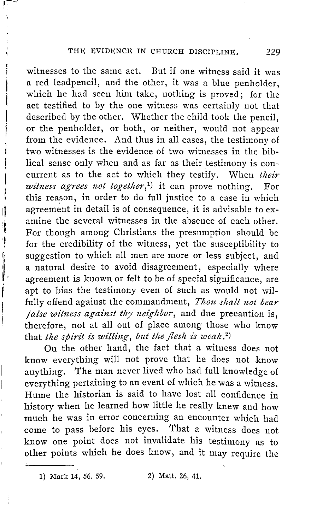witnesses to the same act. But if one witness said it was a red leadpencil, and the other, it was a blue penholder, which he had seen him take, nothing is proved; for the act testified to by the one witness was certainly not that described by the other. Whether the child took the pencil, or the penholder, or both, or neither, would not appear from the evidence. And thus in all cases, the testimony of two witnesses is the evidence of two witnesses in the biblical sense only when and as far as their testimony is concurrent as to the act to which they testify. When *their witness agrees not together*,<sup>1</sup>) it can prove nothing. For this reason, in order to do full justice to a case in which agreement in detail is of consequence, it is advisable to examine the several witnesses in the absence of each other. For though among Christians the presumption should be for the credibility of the witness, yet the susceptibility to suggestion to which all men are more or less subject, and a natural desire to avoid disagreement, especially where agreement is known or felt to be of special significance, are apt to bias the testimony even of such as would not wilfully offend against the commandment, *Thou shalt not bear false witness against thy neighbor,* and due precaution is, therefore, not at all out of place among those who know that *the spirit is willing, but the flesh is weak.*<sup>2</sup>)

11  $\mathbf{I}$ I

 $\ddot{\phantom{a}}$ 

j

' l'altres de la companya de la companya de la companya de la companya de la companya de la companya de la com<br>Les companya de la companya de la companya de la companya de la companya de la companya de la companya de la c

i  $\mathbf{I}$ I

> On the other hand, the fact that a witness does not know everything will not prove that he does not ,know anything. The man never lived who had full knowledge of everything pertaining to an event of which he was a witness. Hume the historian is said to have lost all confidence in history when he learned how little he really knew and how much he was in error concerning an encounter which had come to pass before his eyes. That a witness does not know one point does not invalidate his testimony as to other points which he does know, and it may require the

1) Mark 14, 56. 59. 2) Matt. 26, 41.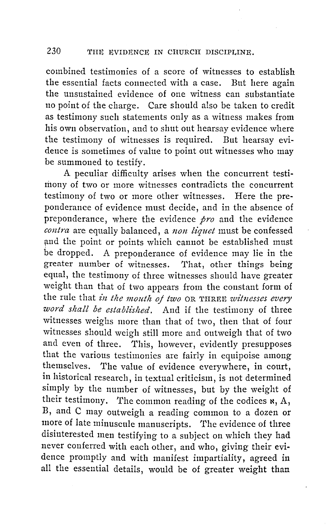combined testimonies of a score of witnesses to establish the essential facts connected with a case. But here again the unsustained evidence of one witness can substantiate no point of the charge. Care should also be taken to credit as testimony such statements only as a witness makes from his own observation, and to shut out hearsay evidence where the testimony of witnesses is required. But hearsay evidence is sometimes of value to point out witnesses who may be summoned to testify.

A peculiar difficulty arises when the concurrent testimony of two or more witnesses contradicts the concurrent testimony of two or more other witnesses. Here the preponderance of evidence must decide, and in the absence of preponderance, where the evidence *pro* and the evidence *contra* are equally balanced, a *non liquet* must be confessed and the point or points which cannot be established must be dropped. A preponderance of evidence may lie in the greater number of witnesses. That, other things being equal, the testimony of three witnesses should have greater weight than that of two appears from the constant form of the rule that *in the mouth of two* OR THREE *witnesses every word shall be established.* And if the testimony of three witnesses weighs more than that of two, then that of four witnesses should weigh still more and outweigh that of two and even of three. This, however, evidently presupposes that the various testimonies are fairly in equipoise among themselves. The value of evidence everywhere, in court, in historical research, in textual criticism, is not determined simply by the number of witnesses, but by the weight of their testimony. The common reading of the codices  $x$ , A, B, and C may outweigh a reading common to a dozen or more of late minuscule manuscripts. The evidence of three disinterested men testifying to a subject on which they had never conferred with each other, and who, giving their evidence promptly and with manifest impartiality, agreed in all the essential details, would be of greater weight than